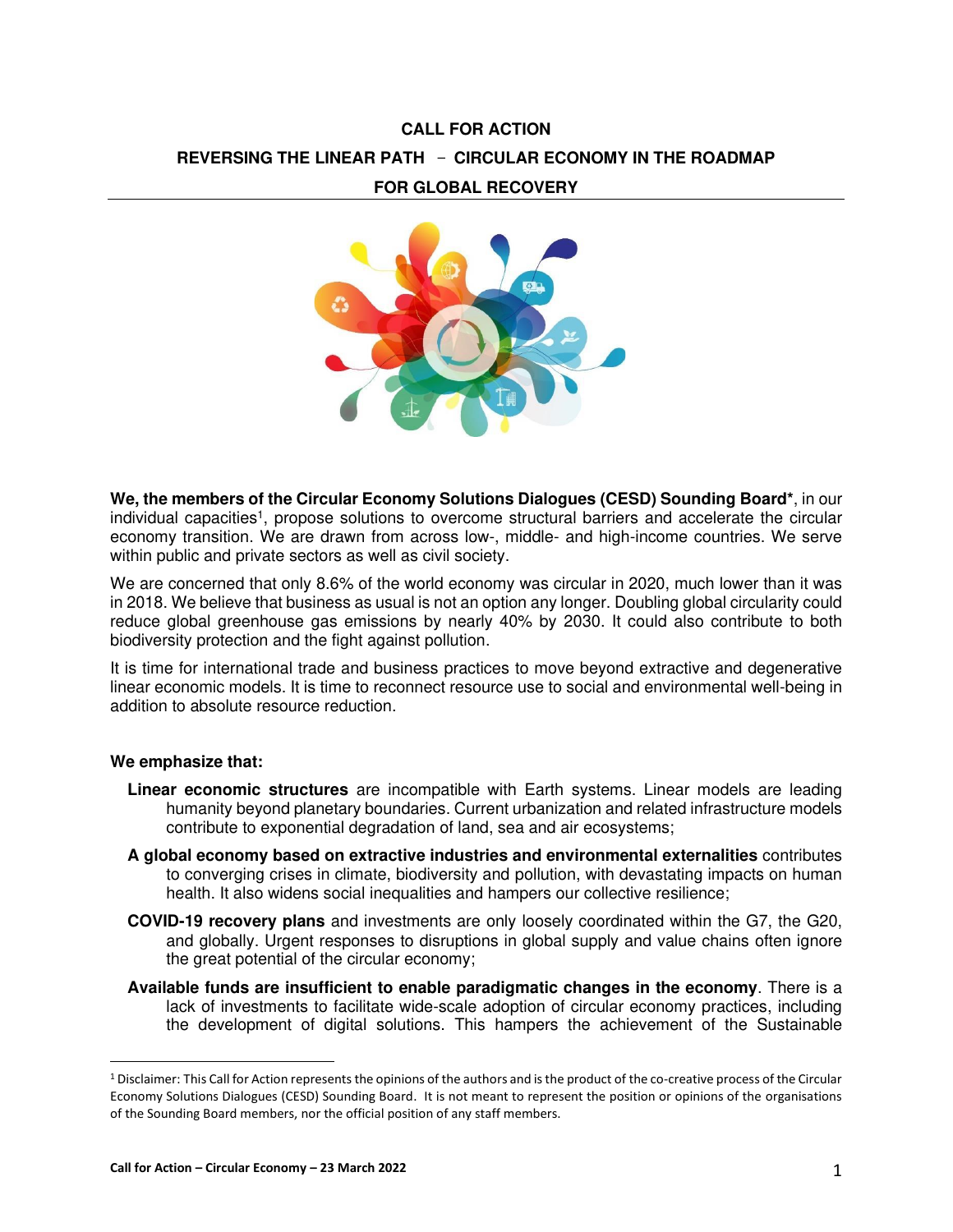# **CALL FOR ACTION REVERSING THE LINEAR PATH**  - **CIRCULAR ECONOMY IN THE ROADMAP FOR GLOBAL RECOVERY**



**We, the members of the Circular Economy Solutions Dialogues (CESD) Sounding Board\***, in our individual capacities<sup>1</sup>, propose solutions to overcome structural barriers and accelerate the circular economy transition. We are drawn from across low-, middle- and high-income countries. We serve within public and private sectors as well as civil society.

We are concerned that only 8.6% of the world economy was circular in 2020, much lower than it was in 2018. We believe that business as usual is not an option any longer. Doubling global circularity could reduce global greenhouse gas emissions by nearly 40% by 2030. It could also contribute to both biodiversity protection and the fight against pollution.

It is time for international trade and business practices to move beyond extractive and degenerative linear economic models. It is time to reconnect resource use to social and environmental well-being in addition to absolute resource reduction.

## **We emphasize that:**

- **Linear economic structures** are incompatible with Earth systems. Linear models are leading humanity beyond planetary boundaries. Current urbanization and related infrastructure models contribute to exponential degradation of land, sea and air ecosystems;
- **A global economy based on extractive industries and environmental externalities** contributes to converging crises in climate, biodiversity and pollution, with devastating impacts on human health. It also widens social inequalities and hampers our collective resilience;
- **COVID-19 recovery plans** and investments are only loosely coordinated within the G7, the G20, and globally. Urgent responses to disruptions in global supply and value chains often ignore the great potential of the circular economy;
- **Available funds are insufficient to enable paradigmatic changes in the economy**. There is a lack of investments to facilitate wide-scale adoption of circular economy practices, including the development of digital solutions. This hampers the achievement of the Sustainable

<sup>&</sup>lt;sup>1</sup> Disclaimer: This Call for Action represents the opinions of the authors and is the product of the co-creative process of the Circular Economy Solutions Dialogues (CESD) Sounding Board. It is not meant to represent the position or opinions of the organisations of the Sounding Board members, nor the official position of any staff members.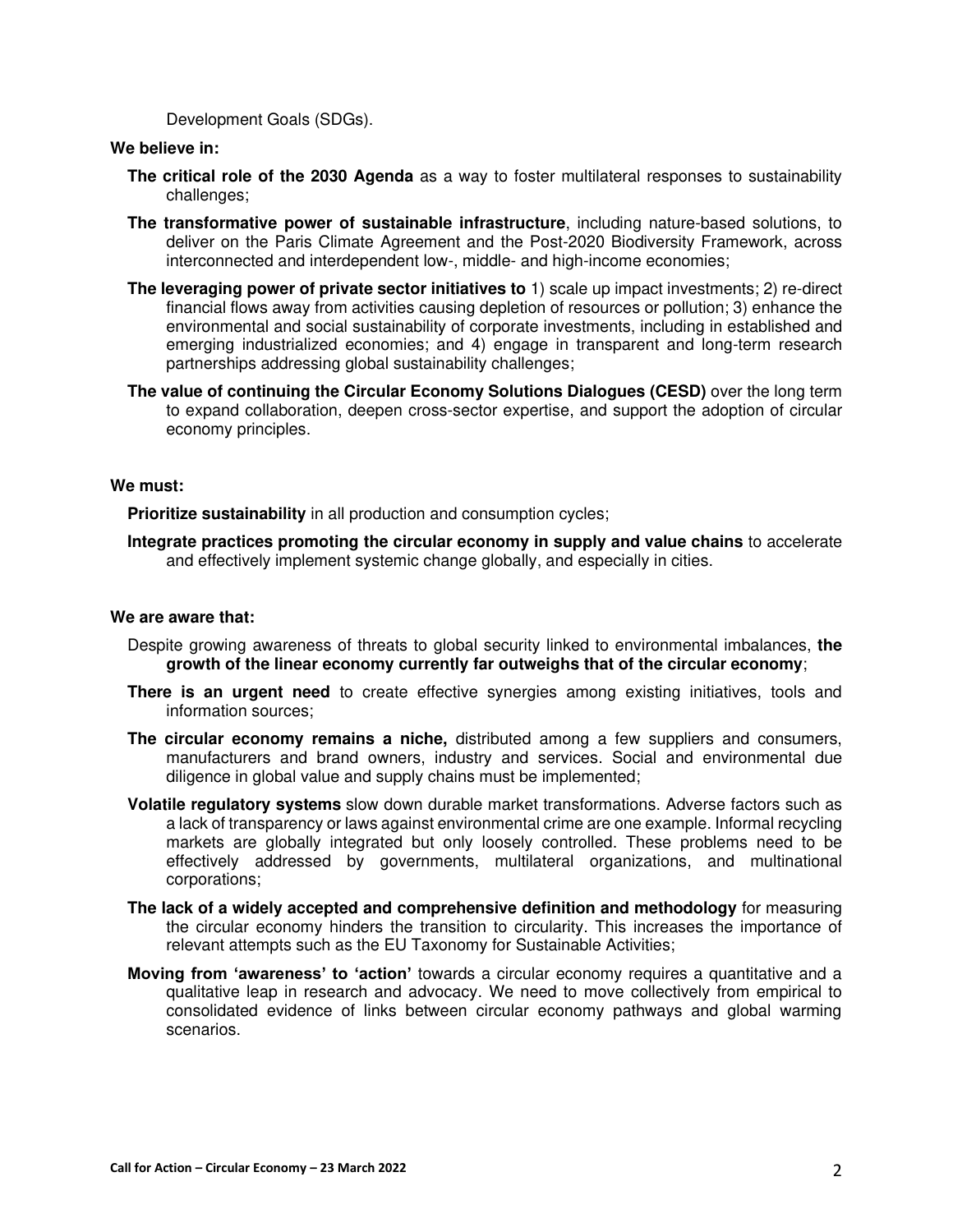Development Goals (SDGs).

# **We believe in:**

- **The critical role of the 2030 Agenda** as a way to foster multilateral responses to sustainability challenges;
- **The transformative power of sustainable infrastructure**, including nature-based solutions, to deliver on the Paris Climate Agreement and the Post-2020 Biodiversity Framework, across interconnected and interdependent low-, middle- and high-income economies;
- **The leveraging power of private sector initiatives to** 1) scale up impact investments; 2) re-direct financial flows away from activities causing depletion of resources or pollution; 3) enhance the environmental and social sustainability of corporate investments, including in established and emerging industrialized economies; and 4) engage in transparent and long-term research partnerships addressing global sustainability challenges;
- **The value of continuing the Circular Economy Solutions Dialogues (CESD)** over the long term to expand collaboration, deepen cross-sector expertise, and support the adoption of circular economy principles.

## **We must:**

**Prioritize sustainability** in all production and consumption cycles;

**Integrate practices promoting the circular economy in supply and value chains** to accelerate and effectively implement systemic change globally, and especially in cities.

# **We are aware that:**

- Despite growing awareness of threats to global security linked to environmental imbalances, **the growth of the linear economy currently far outweighs that of the circular economy**;
- **There is an urgent need** to create effective synergies among existing initiatives, tools and information sources;
- **The circular economy remains a niche,** distributed among a few suppliers and consumers, manufacturers and brand owners, industry and services. Social and environmental due diligence in global value and supply chains must be implemented;
- **Volatile regulatory systems** slow down durable market transformations. Adverse factors such as a lack of transparency or laws against environmental crime are one example. Informal recycling markets are globally integrated but only loosely controlled. These problems need to be effectively addressed by governments, multilateral organizations, and multinational corporations;
- **The lack of a widely accepted and comprehensive definition and methodology** for measuring the circular economy hinders the transition to circularity. This increases the importance of relevant attempts such as the EU Taxonomy for Sustainable Activities;
- **Moving from 'awareness' to 'action'** towards a circular economy requires a quantitative and a qualitative leap in research and advocacy. We need to move collectively from empirical to consolidated evidence of links between circular economy pathways and global warming scenarios.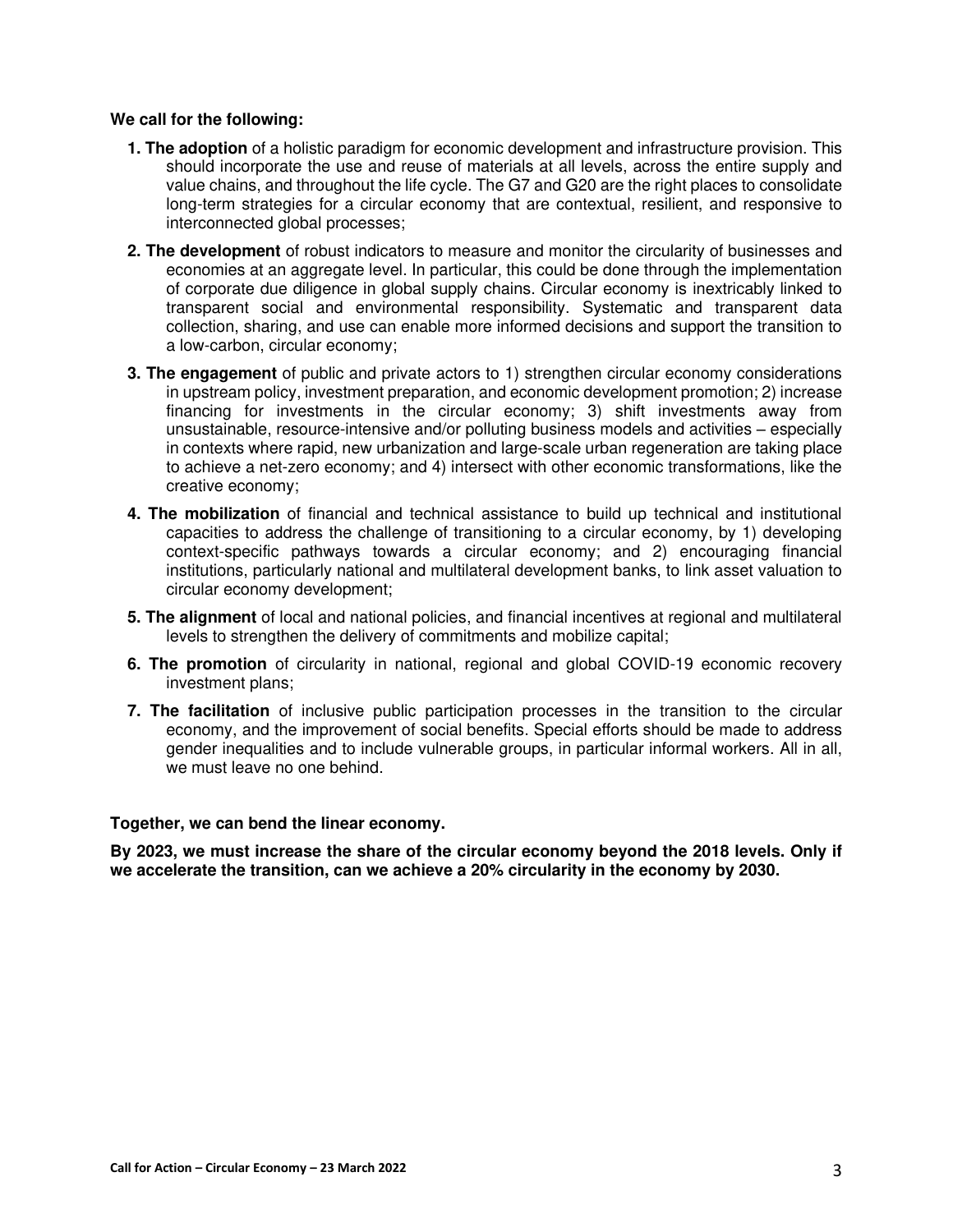# **We call for the following:**

- **1. The adoption** of a holistic paradigm for economic development and infrastructure provision. This should incorporate the use and reuse of materials at all levels, across the entire supply and value chains, and throughout the life cycle. The G7 and G20 are the right places to consolidate long-term strategies for a circular economy that are contextual, resilient, and responsive to interconnected global processes;
- **2. The development** of robust indicators to measure and monitor the circularity of businesses and economies at an aggregate level. In particular, this could be done through the implementation of corporate due diligence in global supply chains. Circular economy is inextricably linked to transparent social and environmental responsibility. Systematic and transparent data collection, sharing, and use can enable more informed decisions and support the transition to a low-carbon, circular economy;
- **3. The engagement** of public and private actors to 1) strengthen circular economy considerations in upstream policy, investment preparation, and economic development promotion; 2) increase financing for investments in the circular economy; 3) shift investments away from unsustainable, resource-intensive and/or polluting business models and activities – especially in contexts where rapid, new urbanization and large-scale urban regeneration are taking place to achieve a net-zero economy; and 4) intersect with other economic transformations, like the creative economy;
- **4. The mobilization** of financial and technical assistance to build up technical and institutional capacities to address the challenge of transitioning to a circular economy, by 1) developing context-specific pathways towards a circular economy; and 2) encouraging financial institutions, particularly national and multilateral development banks, to link asset valuation to circular economy development;
- **5. The alignment** of local and national policies, and financial incentives at regional and multilateral levels to strengthen the delivery of commitments and mobilize capital;
- **6. The promotion** of circularity in national, regional and global COVID-19 economic recovery investment plans;
- **7. The facilitation** of inclusive public participation processes in the transition to the circular economy, and the improvement of social benefits. Special efforts should be made to address gender inequalities and to include vulnerable groups, in particular informal workers. All in all, we must leave no one behind.

## **Together, we can bend the linear economy.**

**By 2023, we must increase the share of the circular economy beyond the 2018 levels. Only if we accelerate the transition, can we achieve a 20% circularity in the economy by 2030.**